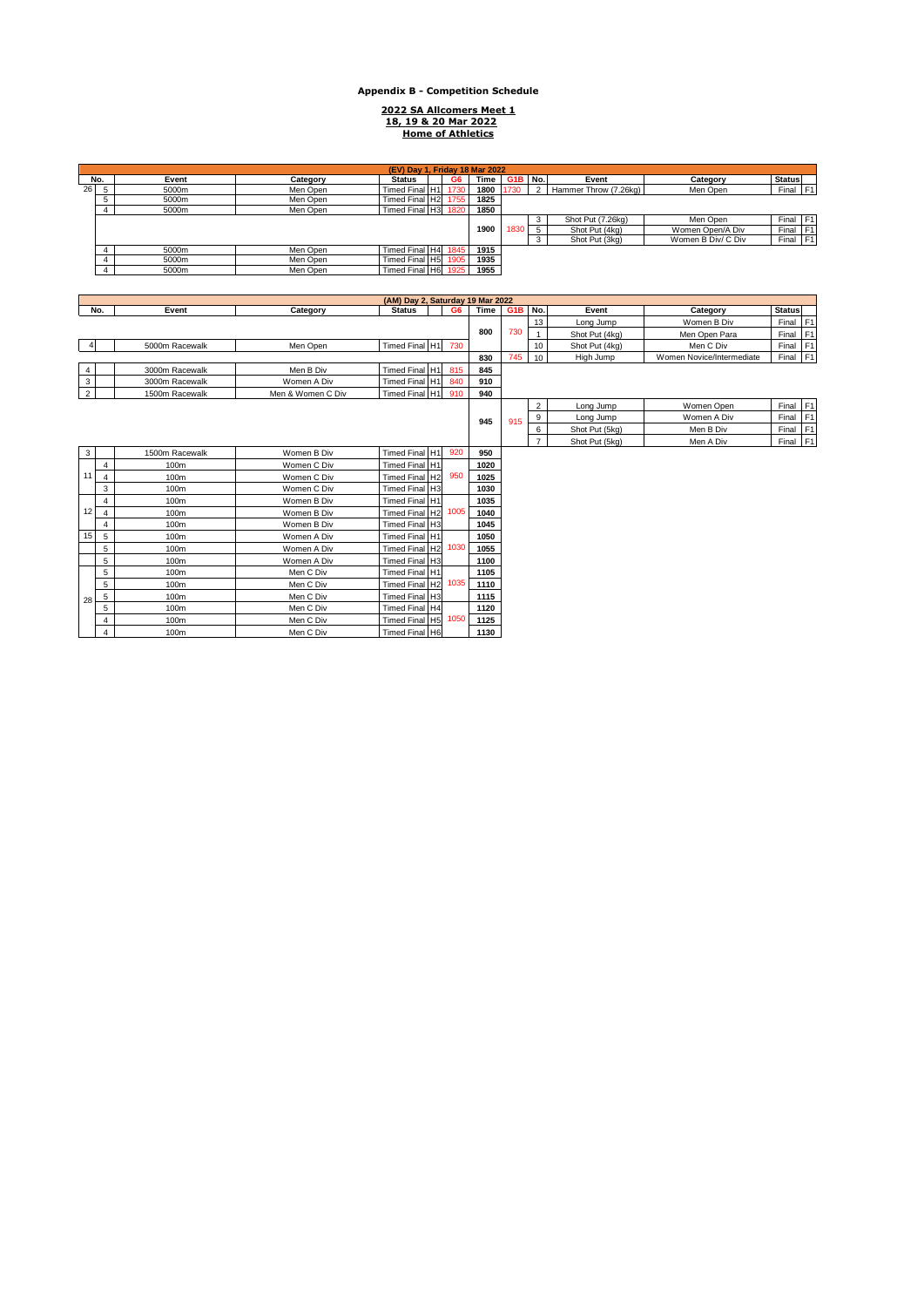## **Appendix B - Competition Schedule**

**2022 SA Allcomers Meet 1 18, 19 & 20 Mar 2022 Home of Athletics**

|     | (EV) Day 1. Friday 18 Mar 2022<br>Time G1B No.<br><b>Status</b><br>Event<br>G6<br>Event<br>Category<br><b>Status</b><br>Category<br>Final F1<br>Timed Final H1 |       |          |                     |  |      |      |   |                   |                       |                    |                |  |
|-----|----------------------------------------------------------------------------------------------------------------------------------------------------------------|-------|----------|---------------------|--|------|------|---|-------------------|-----------------------|--------------------|----------------|--|
| No. |                                                                                                                                                                |       |          |                     |  |      |      |   |                   |                       |                    |                |  |
| 26  |                                                                                                                                                                | 5000m | Men Open |                     |  | 1730 | 1800 |   |                   | Hammer Throw (7.26kg) | Men Open           |                |  |
|     |                                                                                                                                                                | 5000m | Men Open | Timed Final H2 1755 |  |      | 1825 |   |                   |                       |                    |                |  |
|     |                                                                                                                                                                | 5000m | Men Open | Timed Final H3 1820 |  |      | 1850 |   |                   |                       |                    |                |  |
|     |                                                                                                                                                                |       |          |                     |  |      |      | 3 | Shot Put (7.26kg) | Men Open              | Final F1           |                |  |
|     |                                                                                                                                                                |       |          |                     |  | 1900 | 1830 | 5 | Shot Put (4kg)    | Women Open/A Div      | Final              | F <sub>1</sub> |  |
|     |                                                                                                                                                                |       |          |                     |  |      |      |   | 3                 | Shot Put (3kg)        | Women B Div/ C Div | Final F1       |  |
|     |                                                                                                                                                                | 5000m | Men Open | Timed Final H4 1845 |  |      | 1915 |   |                   |                       |                    |                |  |
|     |                                                                                                                                                                | 5000m | Men Open | Timed Final H5      |  | 1905 | 1935 |   |                   |                       |                    |                |  |
|     |                                                                                                                                                                | 5000m | Men Open | Timed Final H6 1925 |  |      | 1955 |   |                   |                       |                    |                |  |

|                | (AM) Day 2, Saturday 19 Mar 2022 |                |                   |                |                |      |                  |                |                |                           |               |                |
|----------------|----------------------------------|----------------|-------------------|----------------|----------------|------|------------------|----------------|----------------|---------------------------|---------------|----------------|
|                | No.                              | Event          | Category          | <b>Status</b>  | G <sub>6</sub> | Time | G <sub>1</sub> B | No.            | Event          | Category                  | <b>Status</b> |                |
|                |                                  |                |                   |                |                |      |                  | 13             | Long Jump      | Women B Div               | Final         | F <sub>1</sub> |
|                |                                  |                |                   |                |                | 800  | 730              |                | Shot Put (4kg) | Men Open Para             | Final         | F <sub>1</sub> |
|                |                                  | 5000m Racewalk | Men Open          | Timed Final H1 | 730            |      |                  | 10             | Shot Put (4kg) | Men C Div                 | Final         | F <sub>1</sub> |
|                |                                  |                |                   |                |                | 830  | 745              | 10             | High Jump      | Women Novice/Intermediate | Final         | F <sub>1</sub> |
| $\overline{4}$ |                                  | 3000m Racewalk | Men B Div         | Timed Final H1 | 815            | 845  |                  |                |                |                           |               |                |
| $\mathbf{3}$   |                                  | 3000m Racewalk | Women A Div       | Timed Final H1 | 840            | 910  |                  |                |                |                           |               |                |
| $\overline{2}$ |                                  | 1500m Racewalk | Men & Women C Div | Timed Final H1 | 910            | 940  |                  |                |                |                           |               |                |
|                |                                  |                |                   |                |                |      |                  | $\overline{2}$ | Long Jump      | Women Open                | Final F1      |                |
|                |                                  |                |                   |                |                | 945  | 915              | 9              | Long Jump      | Women A Div               | Final F1      |                |
|                |                                  |                |                   |                |                |      |                  | 6              | Shot Put (5kg) | Men B Div                 | Final         | F <sub>1</sub> |
|                |                                  |                |                   |                |                |      |                  | $\overline{7}$ | Shot Put (5kg) | Men A Div                 | Final F1      |                |
| $\mathbf{3}$   |                                  | 1500m Racewalk | Women B Div       | Timed Final H1 | 920            | 950  |                  |                |                |                           |               |                |
|                | 4                                | 100m           | Women C Div       | Timed Final H1 |                | 1020 |                  |                |                |                           |               |                |
| 11             | $\overline{4}$                   | 100m           | Women C Div       | Timed Final H2 | 950            | 1025 |                  |                |                |                           |               |                |
|                | 3                                | 100m           | Women C Div       | Timed Final H3 |                | 1030 |                  |                |                |                           |               |                |
|                | 4                                | 100m           | Women B Div       | Timed Final H1 |                | 1035 |                  |                |                |                           |               |                |
| 12             | $\overline{4}$                   | 100m           | Women B Div       | Timed Final H2 | 1005           | 1040 |                  |                |                |                           |               |                |
|                | $\overline{\mathbf{4}}$          | 100m           | Women B Div       | Timed Final H3 |                | 1045 |                  |                |                |                           |               |                |
| 15             | 5                                | 100m           | Women A Div       | Timed Final H1 |                | 1050 |                  |                |                |                           |               |                |
|                | 5                                | 100m           | Women A Div       | Timed Final H2 | 1030           | 1055 |                  |                |                |                           |               |                |
|                | 5                                | 100m           | Women A Div       | Timed Final H3 |                | 1100 |                  |                |                |                           |               |                |
|                | 5                                | 100m           | Men C Div         | Timed Final H1 |                | 1105 |                  |                |                |                           |               |                |
|                | 5                                | 100m           | Men C Div         | Timed Final H2 | 1035           | 1110 |                  |                |                |                           |               |                |
| 28             | 5                                | 100m           | Men C Div         | Timed Final H3 |                | 1115 |                  |                |                |                           |               |                |
|                | 5                                | 100m           | Men C Div         | Timed Final H4 |                | 1120 |                  |                |                |                           |               |                |
|                | 4                                | 100m           | Men C Div         | Timed Final H5 | 1050           | 1125 |                  |                |                |                           |               |                |
|                | 4                                | 100m           | Men C Div         | Timed Final H6 |                | 1130 |                  |                |                |                           |               |                |
|                |                                  |                |                   |                |                |      |                  |                |                |                           |               |                |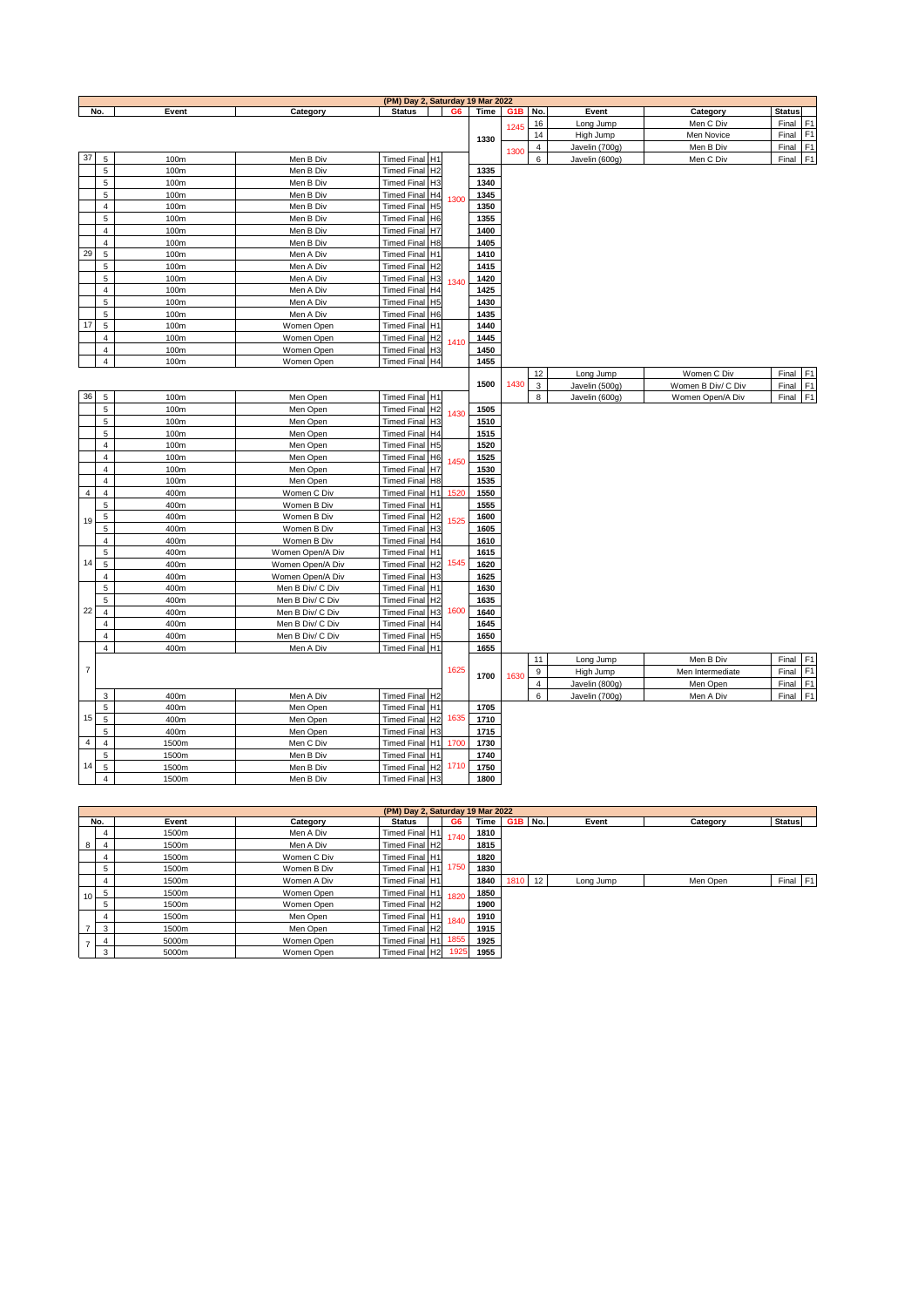|                          |                |       |                  | (PM) Day 2, Saturday 19 Mar 2022 |                |      |      |                  |                |                    |               |                |
|--------------------------|----------------|-------|------------------|----------------------------------|----------------|------|------|------------------|----------------|--------------------|---------------|----------------|
|                          | No.            | Event | Category         | <b>Status</b>                    | G <sub>6</sub> | Time | G1B  | No.              | Event          | Category           | <b>Status</b> |                |
|                          |                |       |                  |                                  |                |      | 1245 | 16               | Long Jump      | Men C Div          | Final F1      |                |
|                          |                |       |                  |                                  |                | 1330 |      | 14               | High Jump      | Men Novice         | Final F1      |                |
|                          |                |       |                  |                                  |                |      | 1300 | 4                | Javelin (700g) | Men B Div          | Final F1      |                |
| 37                       | 5              | 100m  | Men B Div        | Timed Final H1                   |                |      |      | 6                | Javelin (600g) | Men C Div          | Final F1      |                |
|                          | 5              | 100m  | Men B Div        | Timed Final H2                   |                | 1335 |      |                  |                |                    |               |                |
|                          | 5              | 100m  | Men B Div        | Timed Final H3                   |                | 1340 |      |                  |                |                    |               |                |
|                          | 5              | 100m  | Men B Div        | Timed Final H4                   | 1300           | 1345 |      |                  |                |                    |               |                |
|                          | $\overline{4}$ | 100m  | Men B Div        | Timed Final H5                   |                | 1350 |      |                  |                |                    |               |                |
|                          | $\sqrt{5}$     | 100m  | Men B Div        | Timed Final H6                   |                | 1355 |      |                  |                |                    |               |                |
|                          | $\overline{4}$ | 100m  | Men B Div        | Timed Final H7                   |                | 1400 |      |                  |                |                    |               |                |
|                          | $\overline{4}$ | 100m  | Men B Div        | Timed Final H8                   |                | 1405 |      |                  |                |                    |               |                |
| 29                       | 5              | 100m  | Men A Div        | Timed Final H1                   |                | 1410 |      |                  |                |                    |               |                |
|                          | 5              | 100m  | Men A Div        | Timed Final H2                   |                | 1415 |      |                  |                |                    |               |                |
|                          | 5              | 100m  | Men A Div        | Timed Final H3                   | 1340           | 1420 |      |                  |                |                    |               |                |
|                          | $\overline{4}$ | 100m  | Men A Div        | Timed Final H4                   |                | 1425 |      |                  |                |                    |               |                |
|                          | $\mathbf 5$    | 100m  | Men A Div        | Timed Final H5                   |                | 1430 |      |                  |                |                    |               |                |
|                          | 5              | 100m  | Men A Div        | Timed Final H6                   |                | 1435 |      |                  |                |                    |               |                |
| 17                       | $\sqrt{5}$     | 100m  | Women Open       | Timed Final H1                   |                | 1440 |      |                  |                |                    |               |                |
|                          | $\overline{4}$ | 100m  | Women Open       | Timed Final H2                   | 1410           | 1445 |      |                  |                |                    |               |                |
|                          | $\overline{4}$ | 100m  | Women Open       | Timed Final H3                   |                | 1450 |      |                  |                |                    |               |                |
|                          | $\overline{4}$ | 100m  | Women Open       | Timed Final H4                   |                | 1455 |      |                  |                |                    |               |                |
|                          |                |       |                  |                                  |                |      |      | 12               | Long Jump      | Women C Div        | Final         | F <sub>1</sub> |
|                          |                |       |                  |                                  |                | 1500 | 1430 | 3                | Javelin (500g) | Women B Div/ C Div | Final F1      |                |
| 36                       | $\overline{5}$ | 100m  | Men Open         | Timed Final H1                   |                |      |      | 8                | Javelin (600g) | Women Open/A Div   | Final F1      |                |
|                          | 5              | 100m  | Men Open         | Timed Final H2                   |                | 1505 |      |                  |                |                    |               |                |
|                          | 5              | 100m  | Men Open         | Timed Final H3                   | 1430           | 1510 |      |                  |                |                    |               |                |
|                          | 5              | 100m  | Men Open         | Timed Final H4                   |                | 1515 |      |                  |                |                    |               |                |
|                          | $\overline{4}$ | 100m  | Men Open         | Timed Final H5                   |                | 1520 |      |                  |                |                    |               |                |
|                          | $\overline{4}$ | 100m  | Men Open         | Timed Final H6                   |                | 1525 |      |                  |                |                    |               |                |
|                          | $\overline{4}$ | 100m  | Men Open         | Timed Final H7                   | 1450           | 1530 |      |                  |                |                    |               |                |
|                          | $\overline{4}$ | 100m  | Men Open         | Timed Final H8                   |                | 1535 |      |                  |                |                    |               |                |
| $\overline{\mathbf{4}}$  | $\overline{4}$ | 400m  | Women C Div      | Timed Final H1                   | 1520           | 1550 |      |                  |                |                    |               |                |
|                          | 5              | 400m  | Women B Div      | Timed Final H1                   |                | 1555 |      |                  |                |                    |               |                |
|                          | 5              | 400m  | Women B Div      | Timed Final H2                   |                | 1600 |      |                  |                |                    |               |                |
| 19                       | 5              | 400m  | Women B Div      | Timed Final H3                   | 1525           | 1605 |      |                  |                |                    |               |                |
|                          | $\overline{4}$ | 400m  | Women B Div      | <b>Timed Final</b>               | H <sub>4</sub> | 1610 |      |                  |                |                    |               |                |
|                          | 5              | 400m  | Women Open/A Div | Timed Final H1                   |                | 1615 |      |                  |                |                    |               |                |
| 14                       | $\sqrt{5}$     | 400m  | Women Open/A Div | Timed Final H2                   | 1545           | 1620 |      |                  |                |                    |               |                |
|                          | $\overline{4}$ | 400m  | Women Open/A Div | Timed Final H3                   |                | 1625 |      |                  |                |                    |               |                |
|                          | 5              | 400m  | Men B Div/ C Div | Timed Final H1                   |                | 1630 |      |                  |                |                    |               |                |
|                          | 5              | 400m  | Men B Div/ C Div | Timed Final H2                   |                | 1635 |      |                  |                |                    |               |                |
| 22                       | $\overline{4}$ | 400m  | Men B Div/ C Div | Timed Final H3                   | 1600           | 1640 |      |                  |                |                    |               |                |
|                          | $\overline{4}$ | 400m  | Men B Div/ C Div | Timed Final H4                   |                | 1645 |      |                  |                |                    |               |                |
|                          | $\overline{4}$ | 400m  | Men B Div/ C Div | Timed Final H5                   |                | 1650 |      |                  |                |                    |               |                |
|                          | $\overline{4}$ | 400m  | Men A Div        | Timed Final H1                   |                | 1655 |      |                  |                |                    |               |                |
|                          |                |       |                  |                                  |                |      |      | 11               | Long Jump      | Men B Div          | Final         | F <sub>1</sub> |
| $\overline{\mathcal{I}}$ |                |       |                  |                                  | 1625           |      |      | 9                | High Jump      | Men Intermediate   | Final         | F <sub>1</sub> |
|                          |                |       |                  |                                  |                | 1700 | 1630 | $\overline{4}$   | Javelin (800g) | Men Open           | Final         | F <sub>1</sub> |
|                          | $\sqrt{3}$     | 400m  | Men A Div        | Timed Final H2                   |                |      |      | $\boldsymbol{6}$ | Javelin (700g) | Men A Div          | Final         | F <sub>1</sub> |
|                          | 5              | 400m  | Men Open         | Timed Final H1                   |                | 1705 |      |                  |                |                    |               |                |
| 15                       | 5              | 400m  | Men Open         | Timed Final H2                   | 1635           | 1710 |      |                  |                |                    |               |                |
|                          | 5              | 400m  | Men Open         | Timed Final H3                   |                | 1715 |      |                  |                |                    |               |                |
| 4                        | $\overline{4}$ | 1500m | Men C Div        | Timed Final H1                   | 1700           | 1730 |      |                  |                |                    |               |                |
|                          | 5              | 1500m | Men B Div        | Timed Final H1                   |                | 1740 |      |                  |                |                    |               |                |
| 14                       | 5              | 1500m | Men B Div        | Timed Final H2                   | 1710           | 1750 |      |                  |                |                    |               |                |
|                          | $\overline{4}$ | 1500m | Men B Div        | Timed Final H3                   |                | 1800 |      |                  |                |                    |               |                |
|                          |                |       |                  |                                  |                |      |      |                  |                |                    |               |                |

|               |     |       |             | (PM) Day 2, Saturday 19 Mar 2022 |      |      |         |           |          |               |
|---------------|-----|-------|-------------|----------------------------------|------|------|---------|-----------|----------|---------------|
|               | No. | Event | Category    | <b>Status</b>                    | G6   | Time | G1B No. | Event     | Category | <b>Status</b> |
|               |     | 1500m | Men A Div   | Timed Final H1                   | 1740 | 1810 |         |           |          |               |
| 8             |     | 1500m | Men A Div   | Timed Final H2                   |      | 1815 |         |           |          |               |
|               |     | 1500m | Women C Div | Timed Final H1                   |      | 1820 |         |           |          |               |
|               |     | 1500m | Women B Div | Timed Final H1                   | 1750 | 1830 |         |           |          |               |
|               |     | 1500m | Women A Div | Timed Final H1                   |      | 1840 | 1810 12 | Long Jump | Men Open | Final F1      |
| 10            | 5   | 1500m | Women Open  | Timed Final H1                   | 1820 | 1850 |         |           |          |               |
|               | 5   | 1500m | Women Open  | Timed Final H2                   |      | 1900 |         |           |          |               |
|               |     | 1500m | Men Open    | Timed Final H1                   | 1840 | 1910 |         |           |          |               |
|               | 3   | 1500m | Men Open    | Timed Final H2                   |      | 1915 |         |           |          |               |
| $\rightarrow$ |     | 5000m | Women Open  | Timed Final H1 1855              |      | 1925 |         |           |          |               |
|               | 3   | 5000m | Women Open  | Timed Final H2                   | 1925 | 1955 |         |           |          |               |